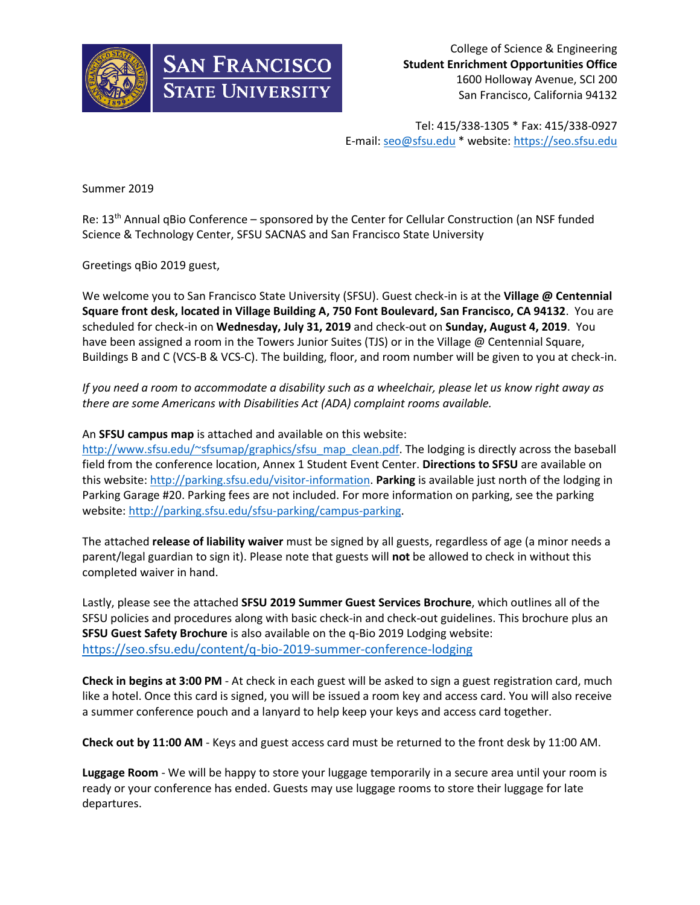

Tel: 415/338-1305 \* Fax: 415/338-0927 E-mail[: seo@sfsu.edu](mailto:seo@sfsu.edu) \* website: [https://seo.sfsu.edu](https://seo.sfsu.edu/)

Summer 2019

Re: 13th Annual qBio Conference – sponsored by the Center for Cellular Construction (an NSF funded Science & Technology Center, SFSU SACNAS and San Francisco State University

Greetings qBio 2019 guest,

We welcome you to San Francisco State University (SFSU). Guest check-in is at the **Village @ Centennial Square front desk, located in Village Building A, 750 Font Boulevard, San Francisco, CA 94132**. You are scheduled for check-in on **Wednesday, July 31, 2019** and check-out on **Sunday, August 4, 2019**. You have been assigned a room in the Towers Junior Suites (TJS) or in the Village @ Centennial Square, Buildings B and C (VCS-B & VCS-C). The building, floor, and room number will be given to you at check-in.

*If you need a room to accommodate a disability such as a wheelchair, please let us know right away as there are some Americans with Disabilities Act (ADA) complaint rooms available.* 

An **SFSU campus map** is attached and available on this website:

[http://www.sfsu.edu/~sfsumap/graphics/sfsu\\_map\\_clean.pdf.](http://www.sfsu.edu/~sfsumap/graphics/sfsu_map_clean.pdf) The lodging is directly across the baseball field from the conference location, Annex 1 Student Event Center. **Directions to SFSU** are available on this website: [http://parking.sfsu.edu/visitor-information.](http://parking.sfsu.edu/visitor-information) **Parking** is available just north of the lodging in Parking Garage #20. Parking fees are not included. For more information on parking, see the parking website[: http://parking.sfsu.edu/sfsu-parking/campus-parking.](http://parking.sfsu.edu/sfsu-parking/campus-parking)

The attached **release of liability waiver** must be signed by all guests, regardless of age (a minor needs a parent/legal guardian to sign it). Please note that guests will **not** be allowed to check in without this completed waiver in hand.

Lastly, please see the attached **SFSU 2019 Summer Guest Services Brochure**, which outlines all of the SFSU policies and procedures along with basic check-in and check-out guidelines. This brochure plus an **SFSU Guest Safety Brochure** is also available on the q-Bio 2019 Lodging website: <https://seo.sfsu.edu/content/q-bio-2019-summer-conference-lodging>

**Check in begins at 3:00 PM** - At check in each guest will be asked to sign a guest registration card, much like a hotel. Once this card is signed, you will be issued a room key and access card. You will also receive a summer conference pouch and a lanyard to help keep your keys and access card together.

**Check out by 11:00 AM** - Keys and guest access card must be returned to the front desk by 11:00 AM.

**Luggage Room** - We will be happy to store your luggage temporarily in a secure area until your room is ready or your conference has ended. Guests may use luggage rooms to store their luggage for late departures.